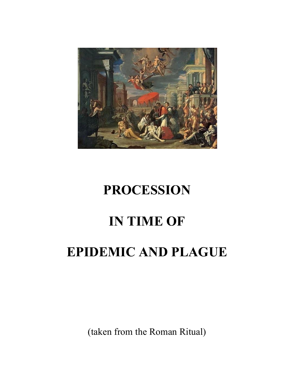

# **PROCESSION**

## **IN TIME OF**

## **EPIDEMIC AND PLAGUE**

(taken from the Roman Ritual)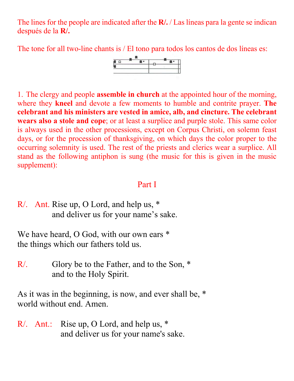The lines for the people are indicated after the **R/.** / Las líneas para la gente se indican después de la **R/.**

The tone for all two-line chants is / El tono para todos los cantos de dos líneas es:



1. The clergy and people **assemble in church** at the appointed hour of the morning, where they **kneel** and devote a few moments to humble and contrite prayer. **The celebrant and his ministers are vested in amice, alb, and cincture. The celebrant wears also a stole and cope**; or at least a surplice and purple stole. This same color is always used in the other processions, except on Corpus Christi, on solemn feast days, or for the procession of thanksgiving, on which days the color proper to the occurring solemnity is used. The rest of the priests and clerics wear a surplice. All stand as the following antiphon is sung (the music for this is given in the music supplement):

### Part I

R/. Ant. Rise up, O Lord, and help us, \* and deliver us for your name's sake.

We have heard, O God, with our own ears  $*$ the things which our fathers told us.

R. Glory be to the Father, and to the Son,  $*$ and to the Holy Spirit.

As it was in the beginning, is now, and ever shall be, \* world without end. Amen.

R/. Ant.: Rise up, O Lord, and help us, \* and deliver us for your name's sake.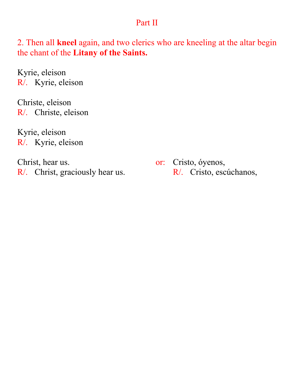#### Part II

2. Then all **kneel** again, and two clerics who are kneeling at the altar begin the chant of the **Litany of the Saints.**

Kyrie, eleison R/. Kyrie, eleison

Christe, eleison R/. Christe, eleison

Kyrie, eleison R/. Kyrie, eleison

Christ, hear us. or: Cristo, óyenos, R/. Christ, graciously hear us. R/. Cristo, escúchanos,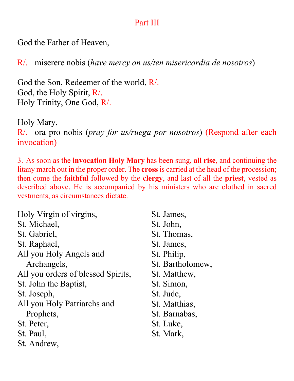### Part III

God the Father of Heaven,

R/. miserere nobis (*have mercy on us/ten misericordia de nosotros*)

God the Son, Redeemer of the world, R/. God, the Holy Spirit, R/. Holy Trinity, One God, R/.

Holy Mary, R/. ora pro nobis (*pray for us/ruega por nosotros*) (Respond after each invocation)

3. As soon as the **invocation Holy Mary** has been sung, **all rise**, and continuing the litany march out in the proper order. The **cross**is carried at the head of the procession; then come the **faithful** followed by the **clergy**, and last of all the **priest**, vested as described above. He is accompanied by his ministers who are clothed in sacred vestments, as circumstances dictate.

| Holy Virgin of virgins,            | St. James,       |
|------------------------------------|------------------|
| St. Michael,                       | St. John,        |
| St. Gabriel,                       | St. Thomas,      |
| St. Raphael,                       | St. James,       |
| All you Holy Angels and            | St. Philip,      |
| Archangels,                        | St. Bartholomew, |
| All you orders of blessed Spirits, | St. Matthew,     |
| St. John the Baptist,              | St. Simon,       |
| St. Joseph,                        | St. Jude,        |
| All you Holy Patriarchs and        | St. Matthias,    |
| Prophets,                          | St. Barnabas,    |
| St. Peter,                         | St. Luke,        |
| St. Paul,                          | St. Mark,        |
| St. Andrew,                        |                  |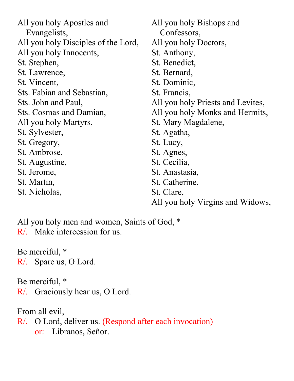All you holy Apostles and Evangelists, All you holy Disciples of the Lord, All you holy Innocents, St. Stephen, St. Lawrence, St. Vincent, Sts. Fabian and Sebastian, Sts. John and Paul, Sts. Cosmas and Damian, All you holy Martyrs, St. Sylvester, St. Gregory, St. Ambrose, St. Augustine, St. Jerome, St. Martin, St. Nicholas, All you holy Bishops and Confessors, All you holy Doctors, St. Anthony, St. Benedict, St. Bernard, St. Dominic, St. Francis, All you holy Priests and Levites, All you holy Monks and Hermits, St. Mary Magdalene, St. Agatha, St. Lucy, St. Agnes, St. Cecilia, St. Anastasia, St. Catherine, St. Clare, All you holy Virgins and Widows,

All you holy men and women, Saints of God, \* R/. Make intercession for us.

Be merciful, \* R/. Spare us, O Lord.

Be merciful, \* R/. Graciously hear us, O Lord.

From all evil, R/. O Lord, deliver us. (Respond after each invocation) or: Líbranos, Señor.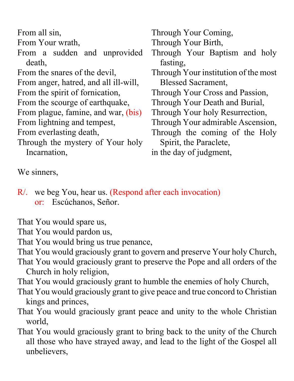From all sin,

From Your wrath,

From a sudden and unprovided death,

From the snares of the devil,

From anger, hatred, and all ill-will,

From the spirit of fornication,

From the scourge of earthquake,

From plague, famine, and war, (bis)

From lightning and tempest,

- From everlasting death,
- Through the mystery of Your holy Incarnation,

Through Your Coming,

Through Your Birth,

- Through Your Baptism and holy fasting,
- Through Your institution of the most Blessed Sacrament,
- Through Your Cross and Passion,
- Through Your Death and Burial,
- Through Your holy Resurrection,
- Through Your admirable Ascension,
- Through the coming of the Holy Spirit, the Paraclete,

in the day of judgment,

We sinners,

R/. we beg You, hear us. (Respond after each invocation) or: Escúchanos, Señor.

That You would spare us,

That You would pardon us,

That You would bring us true penance,

That You would graciously grant to govern and preserve Your holy Church,

That You would graciously grant to preserve the Pope and all orders of the Church in holy religion,

That You would graciously grant to humble the enemies of holy Church,

- That You would graciously grant to give peace and true concord to Christian kings and princes,
- That You would graciously grant peace and unity to the whole Christian world,
- That You would graciously grant to bring back to the unity of the Church all those who have strayed away, and lead to the light of the Gospel all unbelievers,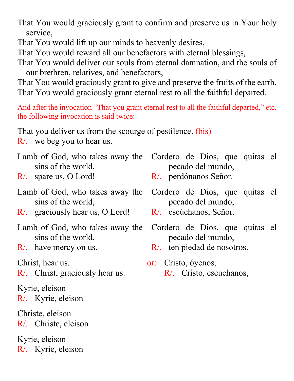That You would graciously grant to confirm and preserve us in Your holy service,

That You would lift up our minds to heavenly desires,

That You would reward all our benefactors with eternal blessings,

That You would deliver our souls from eternal damnation, and the souls of our brethren, relatives, and benefactors,

That You would graciously grant to give and preserve the fruits of the earth, That You would graciously grant eternal rest to all the faithful departed,

And after the invocation "That you grant eternal rest to all the faithful departed," etc. the following invocation is said twice:

That you deliver us from the scourge of pestilence. (bis)

R/. we beg you to hear us.

- Lamb of God, who takes away the sins of the world,
- R/. spare us, O Lord!
- Lamb of God, who takes away the sins of the world,
- R/. graciously hear us, O Lord!
- Lamb of God, who takes away the sins of the world,
- R/. have mercy on us.

R. Christ, graciously hear us. R. Cristo, escúchanos,

Kyrie, eleison R/. Kyrie, eleison

Christe, eleison R/. Christe, eleison

Kyrie, eleison R/. Kyrie, eleison

- Cordero de Dios, que quitas el pecado del mundo,
- R/. perdónanos Señor.
- Cordero de Dios, que quitas el pecado del mundo,
- R/. escúchanos, Señor.
- Cordero de Dios, que quitas el pecado del mundo,
- R/. ten piedad de nosotros.
- Christ, hear us. or: Cristo, óyenos,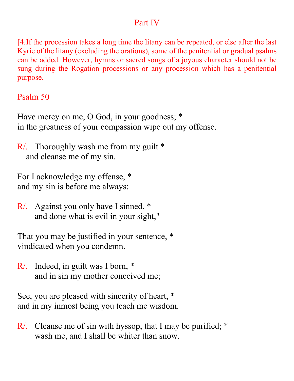#### Part IV

[4.If the procession takes a long time the litany can be repeated, or else after the last Kyrie of the litany (excluding the orations), some of the penitential or gradual psalms can be added. However, hymns or sacred songs of a joyous character should not be sung during the Rogation processions or any procession which has a penitential purpose.

### Psalm 50

Have mercy on me, O God, in your goodness; \* in the greatness of your compassion wipe out my offense.

R/. Thoroughly wash me from my guilt \* and cleanse me of my sin.

For I acknowledge my offense, \* and my sin is before me always:

R/. Against you only have I sinned, \* and done what is evil in your sight,"

That you may be justified in your sentence, \* vindicated when you condemn.

R/. Indeed, in guilt was I born, \* and in sin my mother conceived me;

See, you are pleased with sincerity of heart, \* and in my inmost being you teach me wisdom.

R/. Cleanse me of sin with hyssop, that I may be purified; \* wash me, and I shall be whiter than snow.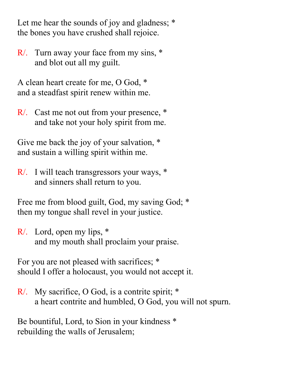Let me hear the sounds of joy and gladness;  $*$ the bones you have crushed shall rejoice.

R/. Turn away your face from my sins, \* and blot out all my guilt.

A clean heart create for me, O God, \* and a steadfast spirit renew within me.

R/. Cast me not out from your presence, \* and take not your holy spirit from me.

Give me back the joy of your salvation, \* and sustain a willing spirit within me.

R/. I will teach transgressors your ways, \* and sinners shall return to you.

Free me from blood guilt, God, my saving God; \* then my tongue shall revel in your justice.

R/. Lord, open my lips, \* and my mouth shall proclaim your praise.

For you are not pleased with sacrifices; \* should I offer a holocaust, you would not accept it.

R/. My sacrifice, O God, is a contrite spirit; \* a heart contrite and humbled, O God, you will not spurn.

Be bountiful, Lord, to Sion in your kindness \* rebuilding the walls of Jerusalem;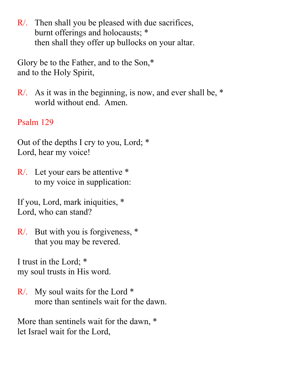R/. Then shall you be pleased with due sacrifices, burnt offerings and holocausts; \* then shall they offer up bullocks on your altar.

Glory be to the Father, and to the Son,\* and to the Holy Spirit,

R/. As it was in the beginning, is now, and ever shall be, \* world without end. Amen.

## Psalm 129

Out of the depths I cry to you, Lord; \* Lord, hear my voice!

R/. Let your ears be attentive \* to my voice in supplication:

If you, Lord, mark iniquities, \* Lord, who can stand?

R/. But with you is forgiveness, \* that you may be revered.

I trust in the Lord; \* my soul trusts in His word.

R/. My soul waits for the Lord \* more than sentinels wait for the dawn.

More than sentinels wait for the dawn, \* let Israel wait for the Lord,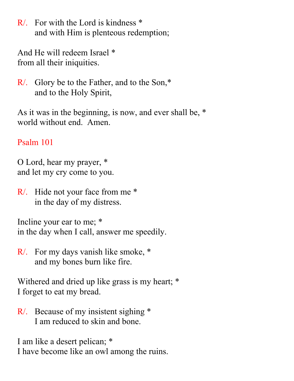R/. For with the Lord is kindness \* and with Him is plenteous redemption;

And He will redeem Israel \* from all their iniquities.

R/. Glory be to the Father, and to the Son,\* and to the Holy Spirit,

As it was in the beginning, is now, and ever shall be, \* world without end. Amen.

## Psalm 101

O Lord, hear my prayer, \* and let my cry come to you.

R/. Hide not your face from me \* in the day of my distress.

Incline your ear to me; \* in the day when I call, answer me speedily.

R/. For my days vanish like smoke, \* and my bones burn like fire.

Withered and dried up like grass is my heart; \* I forget to eat my bread.

R/. Because of my insistent sighing \* I am reduced to skin and bone.

I am like a desert pelican; \* I have become like an owl among the ruins.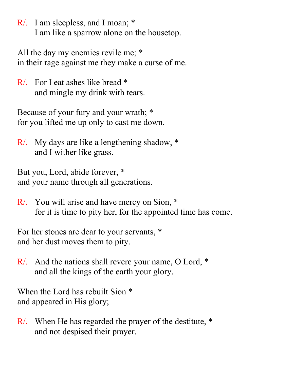R/. I am sleepless, and I moan; \* I am like a sparrow alone on the housetop.

All the day my enemies revile me; \* in their rage against me they make a curse of me.

R/. For I eat ashes like bread \* and mingle my drink with tears.

Because of your fury and your wrath; \* for you lifted me up only to cast me down.

R/. My days are like a lengthening shadow, \* and I wither like grass.

But you, Lord, abide forever, \* and your name through all generations.

R/. You will arise and have mercy on Sion, \* for it is time to pity her, for the appointed time has come.

For her stones are dear to your servants, \* and her dust moves them to pity.

R/. And the nations shall revere your name, O Lord, \* and all the kings of the earth your glory.

When the Lord has rebuilt Sion  $*$ and appeared in His glory;

R/. When He has regarded the prayer of the destitute, \* and not despised their prayer.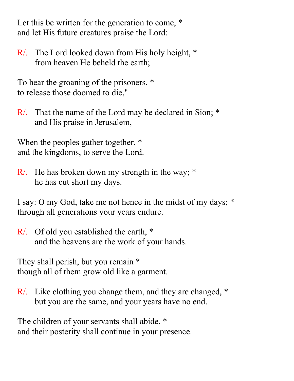Let this be written for the generation to come, \* and let His future creatures praise the Lord:

R/. The Lord looked down from His holy height, \* from heaven He beheld the earth;

To hear the groaning of the prisoners, \* to release those doomed to die,"

R/. That the name of the Lord may be declared in Sion; \* and His praise in Jerusalem,

When the peoples gather together,  $*$ and the kingdoms, to serve the Lord.

R. He has broken down my strength in the way; \* he has cut short my days.

I say: O my God, take me not hence in the midst of my days; \* through all generations your years endure.

R/. Of old you established the earth, \* and the heavens are the work of your hands.

They shall perish, but you remain \* though all of them grow old like a garment.

R/. Like clothing you change them, and they are changed, \* but you are the same, and your years have no end.

The children of your servants shall abide, \* and their posterity shall continue in your presence.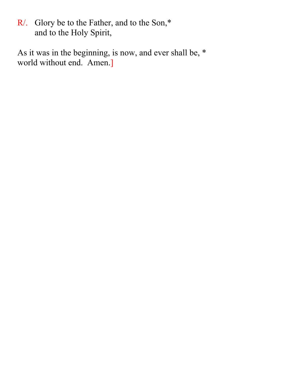R/. Glory be to the Father, and to the Son,\* and to the Holy Spirit,

As it was in the beginning, is now, and ever shall be, \* world without end. Amen.]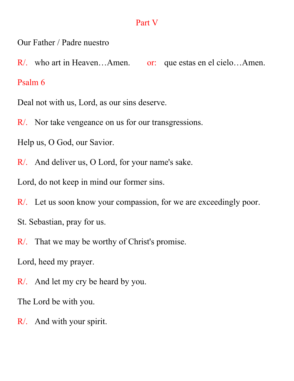#### Part V

Our Father / Padre nuestro

R/. who art in Heaven...Amen. or: que estas en el cielo...Amen. Psalm 6

Deal not with us, Lord, as our sins deserve.

R/. Nor take vengeance on us for our transgressions.

Help us, O God, our Savior.

R/. And deliver us, O Lord, for your name's sake.

Lord, do not keep in mind our former sins.

R/. Let us soon know your compassion, for we are exceedingly poor.

St. Sebastian, pray for us.

R/. That we may be worthy of Christ's promise.

Lord, heed my prayer.

R/. And let my cry be heard by you.

The Lord be with you.

R/. And with your spirit.